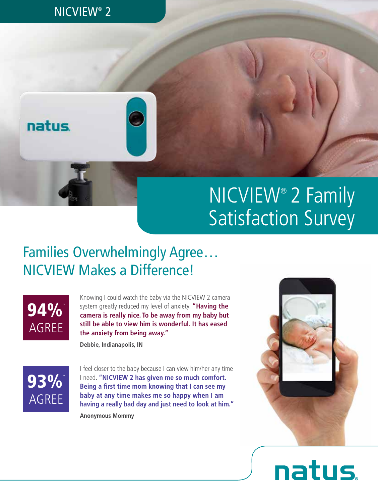### NICVIEW® 2



## NICVIEW® 2 Family Satisfaction Survey

## Families Overwhelmingly Agree… NICVIEW Makes a Difference!



Knowing I could watch the baby via the NICVIEW 2 camera system greatly reduced my level of anxiety. **"Having the camera is really nice. To be away from my baby but still be able to view him is wonderful. It has eased the anxiety from being away."**

**Debbie, Indianapolis, IN**



I feel closer to the baby because I can view him/her any time I need. **"NICVIEW 2 has given me so much comfort. Being a first time mom knowing that I can see my baby at any time makes me so happy when I am having a really bad day and just need to look at him."**

**Anonymous Mommy**



# natus.